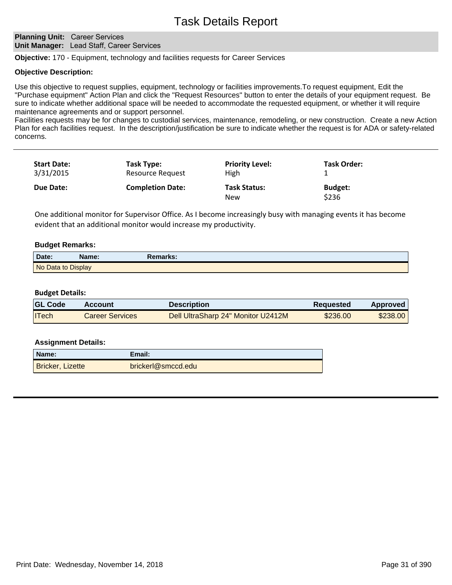## **Planning Unit: Career Services Unit Manager:** Lead Staff, Career Services

**Objective:** 170 - Equipment, technology and facilities requests for Career Services

## **Objective Description:**

Use this objective to request supplies, equipment, technology or facilities improvements.To request equipment, Edit the "Purchase equipment" Action Plan and click the "Request Resources" button to enter the details of your equipment request. Be sure to indicate whether additional space will be needed to accommodate the requested equipment, or whether it will require maintenance agreements and or support personnel.

Facilities requests may be for changes to custodial services, maintenance, remodeling, or new construction. Create a new Action Plan for each facilities request. In the description/justification be sure to indicate whether the request is for ADA or safety-related concerns.

| <b>Start Date:</b><br>3/31/2015 | Task Type:<br><b>Resource Request</b> | <b>Priority Level:</b><br>High    | <b>Task Order:</b>      |  |
|---------------------------------|---------------------------------------|-----------------------------------|-------------------------|--|
| Due Date:                       | <b>Completion Date:</b>               | <b>Task Status:</b><br><b>New</b> | <b>Budget:</b><br>\$236 |  |

One additional monitor for Supervisor Office. As I become increasingly busy with managing events it has become evident that an additional monitor would increase my productivity.

## **Budget Remarks:**

| Date:              | Name: | Remarks: |  |
|--------------------|-------|----------|--|
| No Data to Display |       |          |  |

## **Budget Details:**

| <b>GL Code</b> | Account         | <b>Description</b>                 | <b>Requested</b> | <b>Approved</b> |
|----------------|-----------------|------------------------------------|------------------|-----------------|
| <b>ITech</b>   | Career Services | Dell UltraSharp 24" Monitor U2412M | \$236.00         | \$238.00        |

| Name:            | Email:              |
|------------------|---------------------|
| Bricker, Lizette | bricker @ smccd.edu |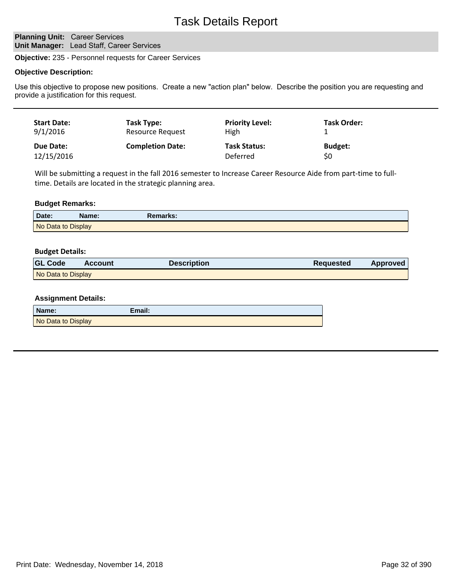# Task Details Report

## **Planning Unit: Career Services Unit Manager:** Lead Staff, Career Services

**Objective:** 235 - Personnel requests for Career Services

## **Objective Description:**

Use this objective to propose new positions. Create a new "action plan" below. Describe the position you are requesting and provide a justification for this request.

| <b>Start Date:</b> | Task Type:              | <b>Priority Level:</b> | <b>Task Order:</b> |
|--------------------|-------------------------|------------------------|--------------------|
| 9/1/2016           | <b>Resource Request</b> | High                   |                    |
| Due Date:          | <b>Completion Date:</b> | <b>Task Status:</b>    | <b>Budget:</b>     |
| 12/15/2016         |                         | Deferred               | \$0                |

Will be submitting a request in the fall 2016 semester to Increase Career Resource Aide from part-time to fulltime. Details are located in the strategic planning area.

## **Budget Remarks:**

| Date:              | Name: | Remarks: |
|--------------------|-------|----------|
| No Data to Display |       |          |

## **Budget Details:**

| <b>GL Code</b>     | <b>Account</b> | <b>Description</b> | <b>Requested</b> | <b>Approved</b> |
|--------------------|----------------|--------------------|------------------|-----------------|
| No Data to Display |                |                    |                  |                 |

| Name:              | Email: |
|--------------------|--------|
| No Data to Display |        |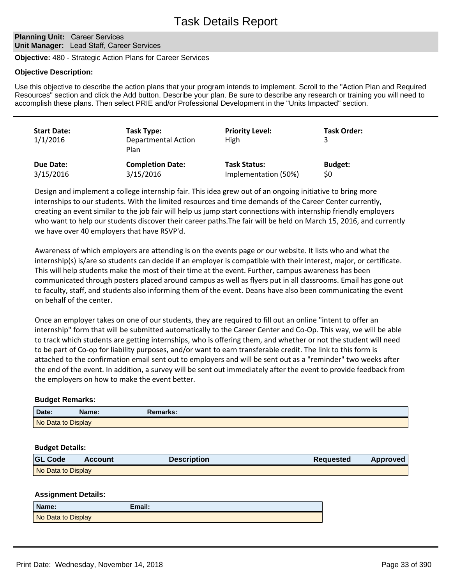## **Planning Unit: Career Services Unit Manager:** Lead Staff, Career Services

**Objective:** 480 - Strategic Action Plans for Career Services

## **Objective Description:**

Use this objective to describe the action plans that your program intends to implement. Scroll to the "Action Plan and Required Resources" section and click the Add button. Describe your plan. Be sure to describe any research or training you will need to accomplish these plans. Then select PRIE and/or Professional Development in the "Units Impacted" section.

| <b>Start Date:</b><br>1/1/2016 | Task Type:<br><b>Departmental Action</b><br>Plan | <b>Priority Level:</b><br>High | <b>Task Order:</b> |
|--------------------------------|--------------------------------------------------|--------------------------------|--------------------|
| Due Date:                      | <b>Completion Date:</b>                          | <b>Task Status:</b>            | <b>Budget:</b>     |
| 3/15/2016                      | 3/15/2016                                        | Implementation (50%)           | \$0                |

Design and implement a college internship fair. This idea grew out of an ongoing initiative to bring more internships to our students. With the limited resources and time demands of the Career Center currently, creating an event similar to the job fair will help us jump start connections with internship friendly employers who want to help our students discover their career paths.The fair will be held on March 15, 2016, and currently we have over 40 employers that have RSVP'd.

Awareness of which employers are attending is on the events page or our website. It lists who and what the internship(s) is/are so students can decide if an employer is compatible with their interest, major, or certificate. This will help students make the most of their time at the event. Further, campus awareness has been communicated through posters placed around campus as well as flyers put in all classrooms. Email has gone out to faculty, staff, and students also informing them of the event. Deans have also been communicating the event on behalf of the center.

Once an employer takes on one of our students, they are required to fill out an online "intent to offer an internship" form that will be submitted automatically to the Career Center and Co-Op. This way, we will be able to track which students are getting internships, who is offering them, and whether or not the student will need to be part of Co-op for liability purposes, and/or want to earn transferable credit. The link to this form is attached to the confirmation email sent out to employers and will be sent out as a "reminder" two weeks after the end of the event. In addition, a survey will be sent out immediately after the event to provide feedback from the employers on how to make the event better.

## **Budget Remarks:**

| Date:              | Name: | Remarks: |  |
|--------------------|-------|----------|--|
| No Data to Display |       |          |  |

## **Budget Details:**

| <b>GL Code</b>     | <b>Account</b> | <b>Description</b> | Requested | Approved |
|--------------------|----------------|--------------------|-----------|----------|
| No Data to Display |                |                    |           |          |

| Name:              | Email: |
|--------------------|--------|
| No Data to Display |        |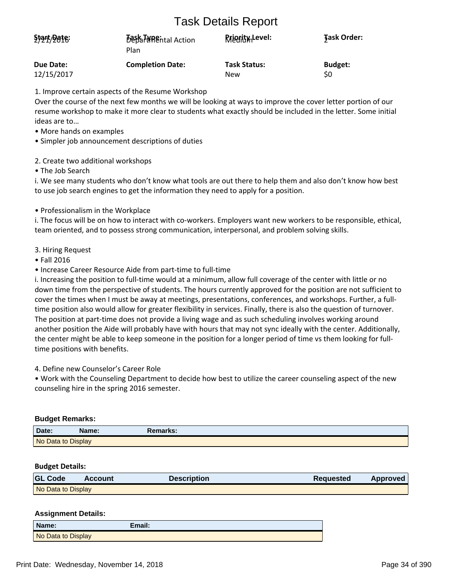# Task Details Report

| Start/Date: | <b>Best THREntal Action</b><br>Plan | <b>Rriggity</b> Level: | <b>Task Order:</b> |
|-------------|-------------------------------------|------------------------|--------------------|
| Due Date:   | <b>Completion Date:</b>             | <b>Task Status:</b>    | <b>Budget:</b>     |
| 12/15/2017  |                                     | New                    | \$0                |

1. Improve certain aspects of the Resume Workshop

Over the course of the next few months we will be looking at ways to improve the cover letter portion of our resume workshop to make it more clear to students what exactly should be included in the letter. Some initial ideas are to...

- More hands on examples
- Simpler job announcement descriptions of duties
- 2. Create two additional workshops

• The Job Search

i. We see many students who don't know what tools are out there to help them and also don't know how best to use job search engines to get the information they need to apply for a position.

• Professionalism in the Workplace

i. The focus will be on how to interact with co-workers. Employers want new workers to be responsible, ethical, team oriented, and to possess strong communication, interpersonal, and problem solving skills.

- 3. Hiring Request
- Fall 2016
- Increase Career Resource Aide from part-time to full-time

i. Increasing the position to full-time would at a minimum, allow full coverage of the center with little or no down time from the perspective of students. The hours currently approved for the position are not sufficient to cover the times when I must be away at meetings, presentations, conferences, and workshops. Further, a fulltime position also would allow for greater flexibility in services. Finally, there is also the question of turnover. The position at part-time does not provide a living wage and as such scheduling involves working around another position the Aide will probably have with hours that may not sync ideally with the center. Additionally, the center might be able to keep someone in the position for a longer period of time vs them looking for fulltime positions with benefits.

4. Define new Counselor's Career Role

• Work with the Counseling Department to decide how best to utilize the career counseling aspect of the new counseling hire in the spring 2016 semester.

## **Budget Remarks:**

| Date:              | Name: | Remarks: |  |
|--------------------|-------|----------|--|
| No Data to Display |       |          |  |

## **Budget Details:**

| <b>GL Code</b>     | Account | <b>Description</b> | <b>Requested</b> | <b>Approved</b> |
|--------------------|---------|--------------------|------------------|-----------------|
| No Data to Display |         |                    |                  |                 |

| Name:              | Email: |
|--------------------|--------|
| No Data to Display |        |